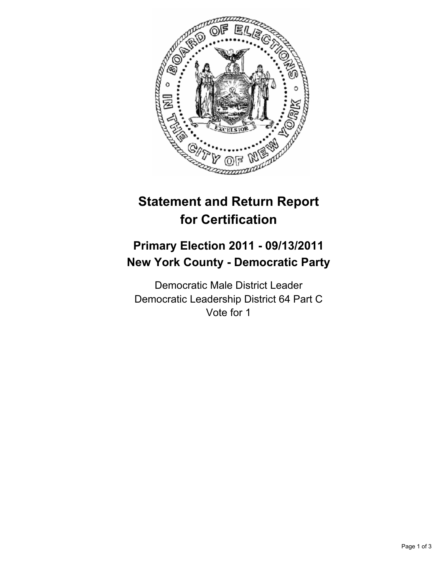

# **Statement and Return Report for Certification**

# **Primary Election 2011 - 09/13/2011 New York County - Democratic Party**

Democratic Male District Leader Democratic Leadership District 64 Part C Vote for 1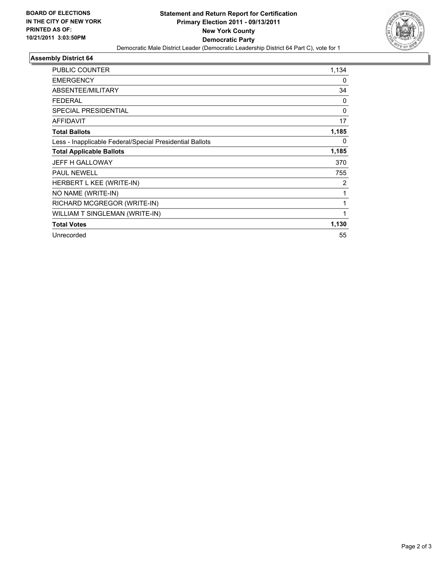

## **Assembly District 64**

| <b>PUBLIC COUNTER</b>                                    | 1,134    |
|----------------------------------------------------------|----------|
| <b>EMERGENCY</b>                                         | 0        |
| ABSENTEE/MILITARY                                        | 34       |
| <b>FEDERAL</b>                                           | 0        |
| <b>SPECIAL PRESIDENTIAL</b>                              | $\Omega$ |
| <b>AFFIDAVIT</b>                                         | 17       |
| <b>Total Ballots</b>                                     | 1,185    |
| Less - Inapplicable Federal/Special Presidential Ballots | 0        |
| <b>Total Applicable Ballots</b>                          | 1,185    |
| <b>JEFF H GALLOWAY</b>                                   | 370      |
| <b>PAUL NEWELL</b>                                       | 755      |
| HERBERT L KEE (WRITE-IN)                                 | 2        |
| NO NAME (WRITE-IN)                                       | 1        |
| RICHARD MCGREGOR (WRITE-IN)                              | 1        |
| WILLIAM T SINGLEMAN (WRITE-IN)                           | 1        |
| <b>Total Votes</b>                                       | 1,130    |
| Unrecorded                                               | 55       |